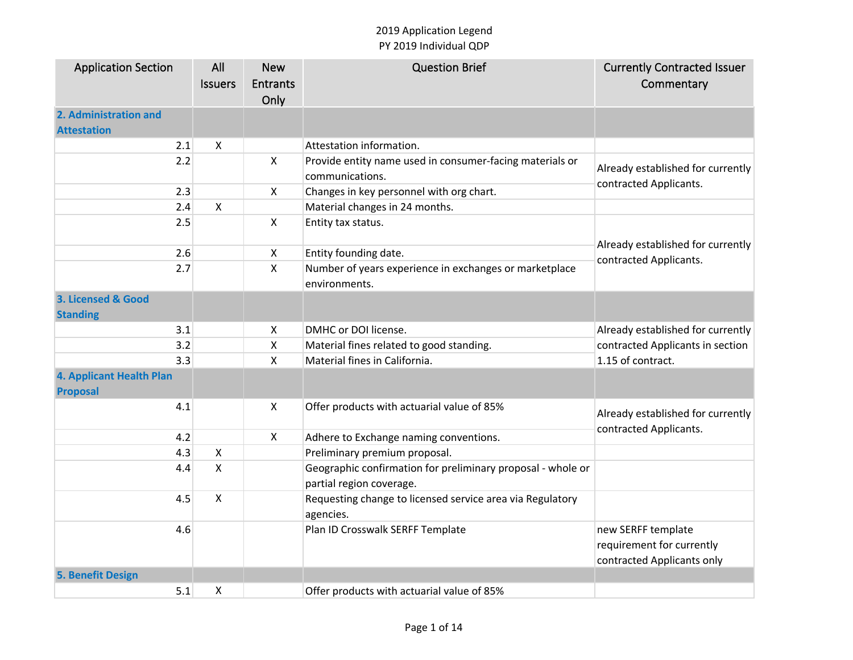| <b>Application Section</b>      | All                       | <b>New</b>         | <b>Question Brief</b>                                       | <b>Currently Contracted Issuer</b>                          |
|---------------------------------|---------------------------|--------------------|-------------------------------------------------------------|-------------------------------------------------------------|
|                                 | <b>Issuers</b>            | <b>Entrants</b>    |                                                             | Commentary                                                  |
|                                 |                           | Only               |                                                             |                                                             |
| 2. Administration and           |                           |                    |                                                             |                                                             |
| <b>Attestation</b>              |                           |                    |                                                             |                                                             |
| 2.1                             | $\boldsymbol{\mathsf{X}}$ |                    | Attestation information.                                    |                                                             |
| 2.2                             |                           | X                  | Provide entity name used in consumer-facing materials or    |                                                             |
|                                 |                           |                    | communications.                                             | Already established for currently<br>contracted Applicants. |
| 2.3                             |                           | X                  | Changes in key personnel with org chart.                    |                                                             |
| 2.4                             | $\pmb{\times}$            |                    | Material changes in 24 months.                              |                                                             |
| 2.5                             |                           | $\pmb{\mathsf{X}}$ | Entity tax status.                                          |                                                             |
|                                 |                           |                    |                                                             | Already established for currently                           |
| 2.6                             |                           | X                  | Entity founding date.                                       | contracted Applicants.                                      |
| 2.7                             |                           | X                  | Number of years experience in exchanges or marketplace      |                                                             |
|                                 |                           |                    | environments.                                               |                                                             |
| 3. Licensed & Good              |                           |                    |                                                             |                                                             |
| <b>Standing</b>                 |                           |                    |                                                             |                                                             |
| 3.1                             |                           | X                  | DMHC or DOI license.                                        | Already established for currently                           |
| 3.2                             |                           | Χ                  | Material fines related to good standing.                    | contracted Applicants in section                            |
| 3.3                             |                           | X                  | Material fines in California.                               | 1.15 of contract.                                           |
| <b>4. Applicant Health Plan</b> |                           |                    |                                                             |                                                             |
| <b>Proposal</b>                 |                           |                    |                                                             |                                                             |
| 4.1                             |                           | X                  | Offer products with actuarial value of 85%                  | Already established for currently                           |
|                                 |                           |                    |                                                             | contracted Applicants.                                      |
| 4.2                             |                           | X                  | Adhere to Exchange naming conventions.                      |                                                             |
| 4.3                             | $\pmb{\times}$            |                    | Preliminary premium proposal.                               |                                                             |
| 4.4                             | $\mathsf{x}$              |                    | Geographic confirmation for preliminary proposal - whole or |                                                             |
|                                 |                           |                    | partial region coverage.                                    |                                                             |
| 4.5                             | $\pmb{\times}$            |                    | Requesting change to licensed service area via Regulatory   |                                                             |
|                                 |                           |                    | agencies.                                                   |                                                             |
| 4.6                             |                           |                    | Plan ID Crosswalk SERFF Template                            | new SERFF template                                          |
|                                 |                           |                    |                                                             | requirement for currently                                   |
|                                 |                           |                    |                                                             | contracted Applicants only                                  |
| <b>5. Benefit Design</b>        |                           |                    |                                                             |                                                             |
| 5.1                             | X                         |                    | Offer products with actuarial value of 85%                  |                                                             |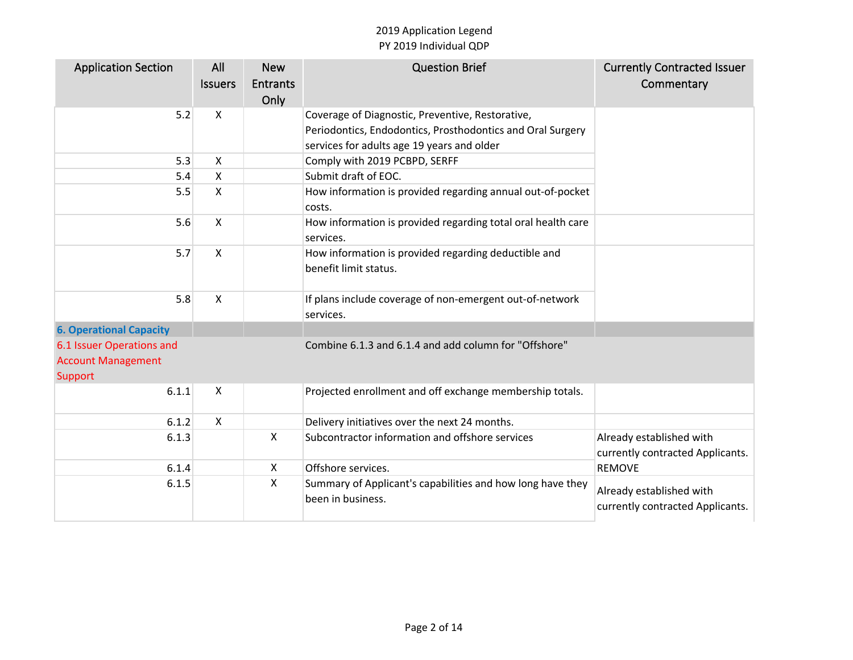| <b>Application Section</b>     | All<br><b>Issuers</b> | <b>New</b><br><b>Entrants</b><br>Only | <b>Question Brief</b>                                                           | <b>Currently Contracted Issuer</b><br>Commentary             |
|--------------------------------|-----------------------|---------------------------------------|---------------------------------------------------------------------------------|--------------------------------------------------------------|
| 5.2                            | X                     |                                       | Coverage of Diagnostic, Preventive, Restorative,                                |                                                              |
|                                |                       |                                       | Periodontics, Endodontics, Prosthodontics and Oral Surgery                      |                                                              |
|                                |                       |                                       | services for adults age 19 years and older                                      |                                                              |
| 5.3                            | X                     |                                       | Comply with 2019 PCBPD, SERFF                                                   |                                                              |
| 5.4                            | X                     |                                       | Submit draft of EOC.                                                            |                                                              |
| 5.5                            | X                     |                                       | How information is provided regarding annual out-of-pocket<br>costs.            |                                                              |
| 5.6                            | X                     |                                       | How information is provided regarding total oral health care<br>services.       |                                                              |
| 5.7                            | X                     |                                       | How information is provided regarding deductible and<br>benefit limit status.   |                                                              |
| 5.8                            | X                     |                                       | If plans include coverage of non-emergent out-of-network<br>services.           |                                                              |
| <b>6. Operational Capacity</b> |                       |                                       |                                                                                 |                                                              |
| 6.1 Issuer Operations and      |                       |                                       | Combine 6.1.3 and 6.1.4 and add column for "Offshore"                           |                                                              |
| <b>Account Management</b>      |                       |                                       |                                                                                 |                                                              |
| Support                        |                       |                                       |                                                                                 |                                                              |
| 6.1.1                          | X                     |                                       | Projected enrollment and off exchange membership totals.                        |                                                              |
| 6.1.2                          | X                     |                                       | Delivery initiatives over the next 24 months.                                   |                                                              |
| 6.1.3                          |                       | $\boldsymbol{\mathsf{X}}$             | Subcontractor information and offshore services                                 | Already established with<br>currently contracted Applicants. |
| 6.1.4                          |                       | $\boldsymbol{\mathsf{X}}$             | Offshore services.                                                              | <b>REMOVE</b>                                                |
| 6.1.5                          |                       | X                                     | Summary of Applicant's capabilities and how long have they<br>been in business. | Already established with<br>currently contracted Applicants. |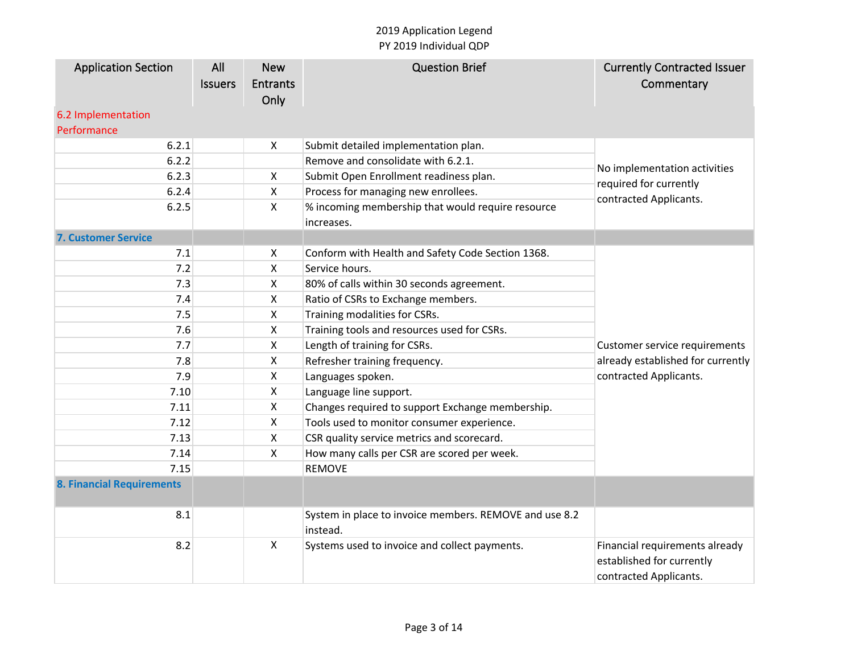| <b>Application Section</b>       | All            | <b>New</b>                | <b>Question Brief</b>                                              | <b>Currently Contracted Issuer</b> |
|----------------------------------|----------------|---------------------------|--------------------------------------------------------------------|------------------------------------|
|                                  | <b>Issuers</b> | <b>Entrants</b>           |                                                                    | Commentary                         |
|                                  |                | Only                      |                                                                    |                                    |
| 6.2 Implementation               |                |                           |                                                                    |                                    |
| Performance                      |                |                           |                                                                    |                                    |
| 6.2.1                            |                | X                         | Submit detailed implementation plan.                               |                                    |
| 6.2.2                            |                |                           | Remove and consolidate with 6.2.1.                                 |                                    |
| 6.2.3                            |                | X                         | Submit Open Enrollment readiness plan.                             | No implementation activities       |
| 6.2.4                            |                | X                         | Process for managing new enrollees.                                | required for currently             |
| 6.2.5                            |                | X                         | % incoming membership that would require resource                  | contracted Applicants.             |
|                                  |                |                           | increases.                                                         |                                    |
| <b>7. Customer Service</b>       |                |                           |                                                                    |                                    |
| 7.1                              |                | X                         | Conform with Health and Safety Code Section 1368.                  |                                    |
| 7.2                              |                | X                         | Service hours.                                                     |                                    |
| 7.3                              |                | X                         | 80% of calls within 30 seconds agreement.                          |                                    |
| 7.4                              |                | X                         | Ratio of CSRs to Exchange members.                                 |                                    |
| 7.5                              |                | X                         | Training modalities for CSRs.                                      |                                    |
| 7.6                              |                | X                         | Training tools and resources used for CSRs.                        |                                    |
| 7.7                              |                | X                         | Length of training for CSRs.                                       | Customer service requirements      |
| 7.8                              |                | X                         | Refresher training frequency.                                      | already established for currently  |
| 7.9                              |                | X                         | Languages spoken.                                                  | contracted Applicants.             |
| 7.10                             |                | X                         | Language line support.                                             |                                    |
| 7.11                             |                | X                         | Changes required to support Exchange membership.                   |                                    |
| 7.12                             |                | X                         | Tools used to monitor consumer experience.                         |                                    |
| 7.13                             |                | X                         | CSR quality service metrics and scorecard.                         |                                    |
| 7.14                             |                | X                         | How many calls per CSR are scored per week.                        |                                    |
| 7.15                             |                |                           | <b>REMOVE</b>                                                      |                                    |
| <b>8. Financial Requirements</b> |                |                           |                                                                    |                                    |
| 8.1                              |                |                           | System in place to invoice members. REMOVE and use 8.2<br>instead. |                                    |
| 8.2                              |                | $\boldsymbol{\mathsf{X}}$ | Systems used to invoice and collect payments.                      | Financial requirements already     |
|                                  |                |                           |                                                                    | established for currently          |
|                                  |                |                           |                                                                    | contracted Applicants.             |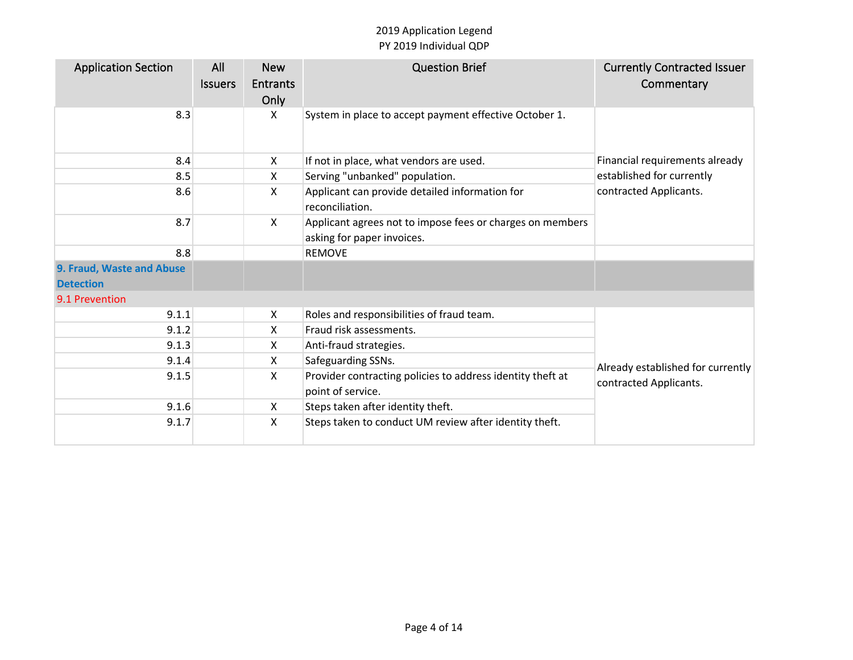| <b>Application Section</b>                    | All<br><b>Issuers</b> | <b>New</b><br><b>Entrants</b><br>Only | <b>Question Brief</b>                                                                   | <b>Currently Contracted Issuer</b><br>Commentary |
|-----------------------------------------------|-----------------------|---------------------------------------|-----------------------------------------------------------------------------------------|--------------------------------------------------|
| 8.3                                           |                       | X                                     | System in place to accept payment effective October 1.                                  |                                                  |
| 8.4                                           |                       | X                                     | If not in place, what vendors are used.                                                 | Financial requirements already                   |
| 8.5                                           |                       | X                                     | Serving "unbanked" population.                                                          | established for currently                        |
| 8.6                                           |                       | X                                     | Applicant can provide detailed information for<br>reconciliation.                       | contracted Applicants.                           |
| 8.7                                           |                       | X                                     | Applicant agrees not to impose fees or charges on members<br>asking for paper invoices. |                                                  |
| 8.8                                           |                       |                                       | <b>REMOVE</b>                                                                           |                                                  |
| 9. Fraud, Waste and Abuse<br><b>Detection</b> |                       |                                       |                                                                                         |                                                  |
| 9.1 Prevention                                |                       |                                       |                                                                                         |                                                  |
| 9.1.1                                         |                       | X                                     | Roles and responsibilities of fraud team.                                               |                                                  |
| 9.1.2                                         |                       | X                                     | Fraud risk assessments.                                                                 |                                                  |
| 9.1.3                                         |                       | x                                     | Anti-fraud strategies.                                                                  |                                                  |
| 9.1.4                                         |                       | X                                     | Safeguarding SSNs.                                                                      | Already established for currently                |
| 9.1.5                                         |                       | X                                     | Provider contracting policies to address identity theft at<br>point of service.         | contracted Applicants.                           |
| 9.1.6                                         |                       | X                                     | Steps taken after identity theft.                                                       |                                                  |
| 9.1.7                                         |                       | X                                     | Steps taken to conduct UM review after identity theft.                                  |                                                  |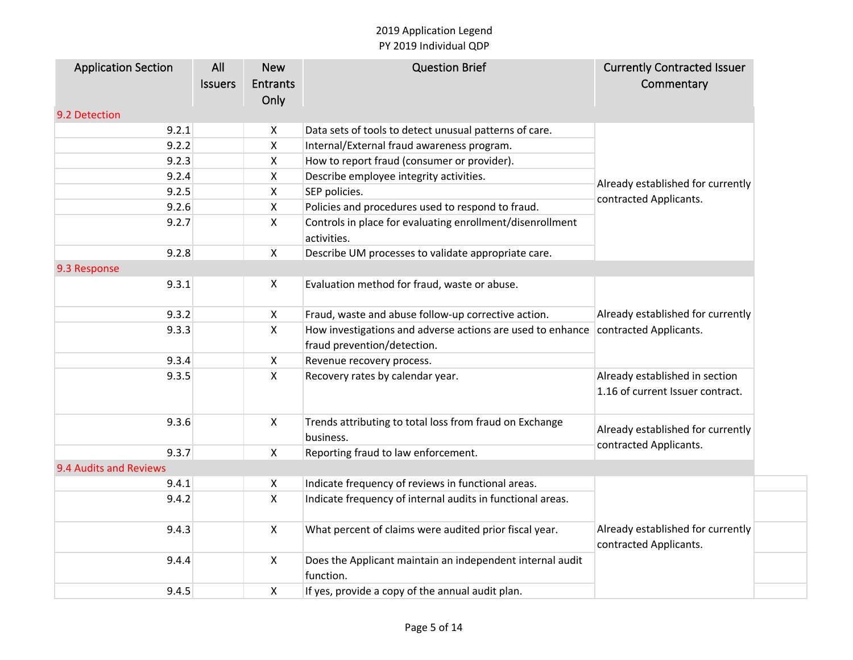| <b>Application Section</b> | All            | <b>New</b>         | <b>Question Brief</b>                                                    | <b>Currently Contracted Issuer</b>                          |
|----------------------------|----------------|--------------------|--------------------------------------------------------------------------|-------------------------------------------------------------|
|                            | <b>Issuers</b> | <b>Entrants</b>    |                                                                          | Commentary                                                  |
|                            |                | Only               |                                                                          |                                                             |
| 9.2 Detection              |                |                    |                                                                          |                                                             |
| 9.2.1                      |                | X                  | Data sets of tools to detect unusual patterns of care.                   |                                                             |
| 9.2.2                      |                | $\mathsf{X}$       | Internal/External fraud awareness program.                               |                                                             |
| 9.2.3                      |                | X                  | How to report fraud (consumer or provider).                              |                                                             |
| 9.2.4                      |                | $\pmb{\mathsf{X}}$ | Describe employee integrity activities.                                  | Already established for currently                           |
| 9.2.5                      |                | X                  | SEP policies.                                                            | contracted Applicants.                                      |
| 9.2.6                      |                | $\pmb{\mathsf{X}}$ | Policies and procedures used to respond to fraud.                        |                                                             |
| 9.2.7                      |                | $\mathsf{X}$       | Controls in place for evaluating enrollment/disenrollment<br>activities. |                                                             |
| 9.2.8                      |                | $\mathsf{X}$       | Describe UM processes to validate appropriate care.                      |                                                             |
| 9.3 Response               |                |                    |                                                                          |                                                             |
| 9.3.1                      |                | X                  | Evaluation method for fraud, waste or abuse.                             |                                                             |
| 9.3.2                      |                | $\pmb{\mathsf{X}}$ | Fraud, waste and abuse follow-up corrective action.                      | Already established for currently<br>contracted Applicants. |
| 9.3.3                      |                | X                  | How investigations and adverse actions are used to enhance               |                                                             |
|                            |                |                    | fraud prevention/detection.                                              |                                                             |
| 9.3.4                      |                | X                  | Revenue recovery process.                                                |                                                             |
| 9.3.5                      |                | $\mathsf{X}$       | Recovery rates by calendar year.                                         | Already established in section                              |
|                            |                |                    |                                                                          | 1.16 of current Issuer contract.                            |
| 9.3.6                      |                | X                  | Trends attributing to total loss from fraud on Exchange                  | Already established for currently                           |
|                            |                |                    | business.                                                                | contracted Applicants.                                      |
| 9.3.7                      |                | X                  | Reporting fraud to law enforcement.                                      |                                                             |
| 9.4 Audits and Reviews     |                |                    |                                                                          |                                                             |
| 9.4.1                      |                | X                  | Indicate frequency of reviews in functional areas.                       |                                                             |
| 9.4.2                      |                | $\mathsf{X}$       | Indicate frequency of internal audits in functional areas.               | Already established for currently<br>contracted Applicants. |
| 9.4.3                      |                | $\mathsf{X}$       | What percent of claims were audited prior fiscal year.                   |                                                             |
| 9.4.4                      |                | X                  | Does the Applicant maintain an independent internal audit<br>function.   |                                                             |
| 9.4.5                      |                | X                  | If yes, provide a copy of the annual audit plan.                         |                                                             |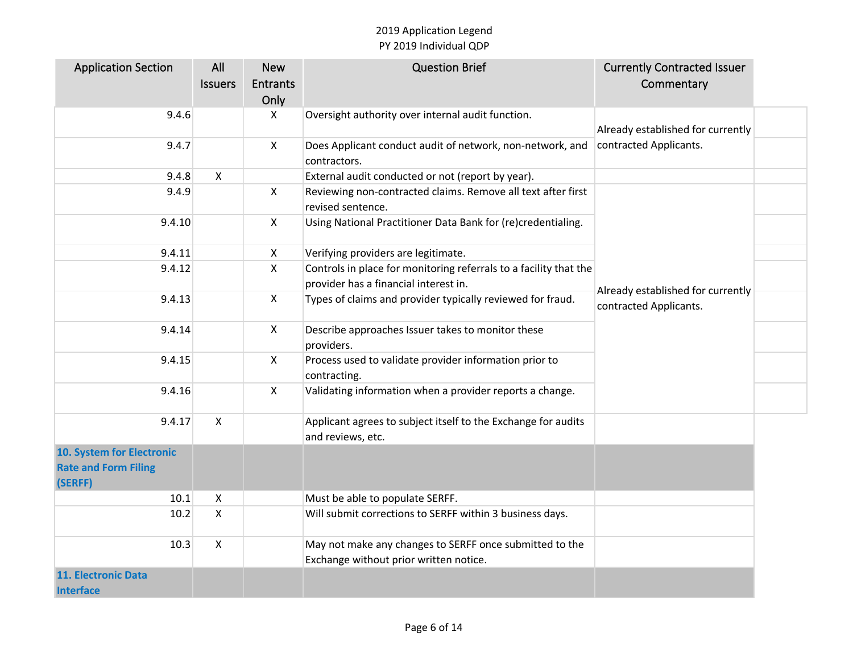| <b>Application Section</b>  | All            | <b>New</b>      | <b>Question Brief</b>                                             | <b>Currently Contracted Issuer</b> |  |
|-----------------------------|----------------|-----------------|-------------------------------------------------------------------|------------------------------------|--|
|                             | <b>Issuers</b> | <b>Entrants</b> |                                                                   | Commentary                         |  |
|                             |                | Only            |                                                                   |                                    |  |
| 9.4.6                       |                | X               | Oversight authority over internal audit function.                 |                                    |  |
|                             |                |                 |                                                                   | Already established for currently  |  |
| 9.4.7                       |                | X               | Does Applicant conduct audit of network, non-network, and         | contracted Applicants.             |  |
|                             |                |                 | contractors.                                                      |                                    |  |
| 9.4.8                       | X              |                 | External audit conducted or not (report by year).                 |                                    |  |
| 9.4.9                       |                | $\mathsf{X}$    | Reviewing non-contracted claims. Remove all text after first      |                                    |  |
|                             |                |                 | revised sentence.                                                 |                                    |  |
| 9.4.10                      |                | $\mathsf{X}$    | Using National Practitioner Data Bank for (re)credentialing.      |                                    |  |
|                             |                |                 |                                                                   |                                    |  |
| 9.4.11                      |                | X               | Verifying providers are legitimate.                               |                                    |  |
| 9.4.12                      |                | X               | Controls in place for monitoring referrals to a facility that the |                                    |  |
|                             |                |                 | provider has a financial interest in.                             |                                    |  |
| 9.4.13                      |                | X               | Types of claims and provider typically reviewed for fraud.        | Already established for currently  |  |
|                             |                |                 |                                                                   | contracted Applicants.             |  |
| 9.4.14                      |                | $\mathsf{X}$    | Describe approaches Issuer takes to monitor these                 |                                    |  |
|                             |                |                 | providers.                                                        |                                    |  |
| 9.4.15                      |                | $\mathsf{X}$    | Process used to validate provider information prior to            |                                    |  |
|                             |                |                 | contracting.                                                      |                                    |  |
| 9.4.16                      |                | $\mathsf{X}$    | Validating information when a provider reports a change.          |                                    |  |
|                             |                |                 |                                                                   |                                    |  |
| 9.4.17                      | $\mathsf{X}$   |                 | Applicant agrees to subject itself to the Exchange for audits     |                                    |  |
|                             |                |                 | and reviews, etc.                                                 |                                    |  |
| 10. System for Electronic   |                |                 |                                                                   |                                    |  |
| <b>Rate and Form Filing</b> |                |                 |                                                                   |                                    |  |
| (SERFF)                     |                |                 |                                                                   |                                    |  |
| 10.1                        | X              |                 | Must be able to populate SERFF.                                   |                                    |  |
| 10.2                        | $\mathsf{X}$   |                 | Will submit corrections to SERFF within 3 business days.          |                                    |  |
|                             |                |                 |                                                                   |                                    |  |
| 10.3                        | $\mathsf{X}$   |                 | May not make any changes to SERFF once submitted to the           |                                    |  |
|                             |                |                 | Exchange without prior written notice.                            |                                    |  |
| 11. Electronic Data         |                |                 |                                                                   |                                    |  |
| <b>Interface</b>            |                |                 |                                                                   |                                    |  |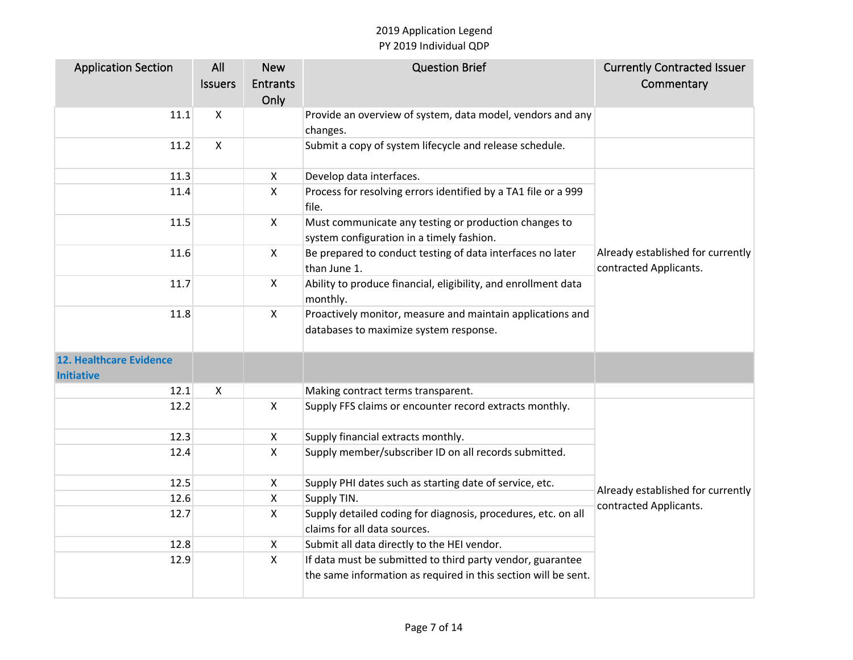| <b>Application Section</b>                          | All                       | <b>New</b>      | <b>Question Brief</b>                                                                                                        | <b>Currently Contracted Issuer</b>                          |
|-----------------------------------------------------|---------------------------|-----------------|------------------------------------------------------------------------------------------------------------------------------|-------------------------------------------------------------|
|                                                     | <b>Issuers</b>            | <b>Entrants</b> |                                                                                                                              | Commentary                                                  |
|                                                     |                           | Only            |                                                                                                                              |                                                             |
| 11.1                                                | $\boldsymbol{\mathsf{X}}$ |                 | Provide an overview of system, data model, vendors and any                                                                   |                                                             |
|                                                     |                           |                 | changes.                                                                                                                     |                                                             |
| 11.2                                                | $\mathsf{X}$              |                 | Submit a copy of system lifecycle and release schedule.                                                                      |                                                             |
| 11.3                                                |                           | $\mathsf{X}$    | Develop data interfaces.                                                                                                     |                                                             |
| 11.4                                                |                           | $\mathsf{X}$    | Process for resolving errors identified by a TA1 file or a 999<br>file.                                                      |                                                             |
| 11.5                                                |                           | $\pmb{\times}$  | Must communicate any testing or production changes to<br>system configuration in a timely fashion.                           |                                                             |
| 11.6                                                |                           | $\mathsf{X}$    | Be prepared to conduct testing of data interfaces no later<br>than June 1.                                                   | Already established for currently<br>contracted Applicants. |
| 11.7                                                |                           | $\mathsf{X}$    | Ability to produce financial, eligibility, and enrollment data<br>monthly.                                                   |                                                             |
| 11.8                                                |                           | $\mathsf{X}$    | Proactively monitor, measure and maintain applications and<br>databases to maximize system response.                         |                                                             |
| <b>12. Healthcare Evidence</b><br><b>Initiative</b> |                           |                 |                                                                                                                              |                                                             |
| 12.1                                                | X                         |                 | Making contract terms transparent.                                                                                           |                                                             |
| 12.2                                                |                           | $\mathsf{X}$    | Supply FFS claims or encounter record extracts monthly.                                                                      |                                                             |
| 12.3                                                |                           | X               | Supply financial extracts monthly.                                                                                           |                                                             |
| 12.4                                                |                           | $\mathsf{X}$    | Supply member/subscriber ID on all records submitted.                                                                        |                                                             |
| 12.5                                                |                           | X               | Supply PHI dates such as starting date of service, etc.                                                                      |                                                             |
| 12.6                                                |                           | $\mathsf{X}$    | Supply TIN.                                                                                                                  | Already established for currently<br>contracted Applicants. |
| 12.7                                                |                           | $\mathsf{X}$    | Supply detailed coding for diagnosis, procedures, etc. on all<br>claims for all data sources.                                |                                                             |
| 12.8                                                |                           | X               | Submit all data directly to the HEI vendor.                                                                                  |                                                             |
| 12.9                                                |                           | X               | If data must be submitted to third party vendor, guarantee<br>the same information as required in this section will be sent. |                                                             |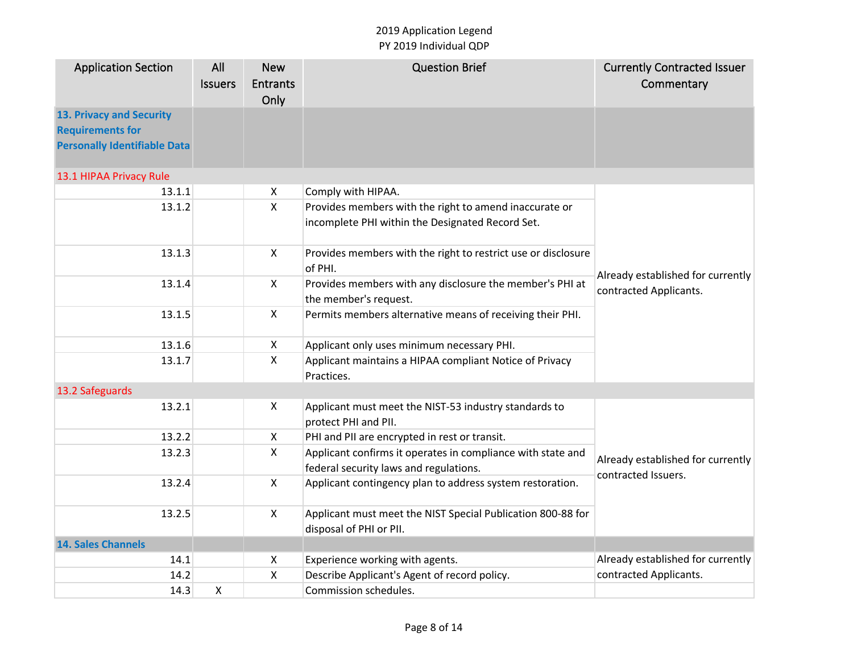| <b>Application Section</b>          | All<br><b>Issuers</b> | <b>New</b><br><b>Entrants</b> | <b>Question Brief</b>                                                                                      | <b>Currently Contracted Issuer</b><br>Commentary |
|-------------------------------------|-----------------------|-------------------------------|------------------------------------------------------------------------------------------------------------|--------------------------------------------------|
|                                     |                       | Only                          |                                                                                                            |                                                  |
| 13. Privacy and Security            |                       |                               |                                                                                                            |                                                  |
| <b>Requirements for</b>             |                       |                               |                                                                                                            |                                                  |
| <b>Personally Identifiable Data</b> |                       |                               |                                                                                                            |                                                  |
| 13.1 HIPAA Privacy Rule             |                       |                               |                                                                                                            |                                                  |
| 13.1.1                              |                       | X                             | Comply with HIPAA.                                                                                         |                                                  |
| 13.1.2                              |                       | $\mathsf{X}$                  | Provides members with the right to amend inaccurate or<br>incomplete PHI within the Designated Record Set. |                                                  |
| 13.1.3                              |                       | $\mathsf{X}$                  | Provides members with the right to restrict use or disclosure<br>of PHI.                                   | Already established for currently                |
| 13.1.4                              |                       | $\mathsf{X}$                  | Provides members with any disclosure the member's PHI at<br>the member's request.                          | contracted Applicants.                           |
| 13.1.5                              |                       | $\mathsf{X}$                  | Permits members alternative means of receiving their PHI.                                                  |                                                  |
| 13.1.6                              |                       | X                             | Applicant only uses minimum necessary PHI.                                                                 |                                                  |
| 13.1.7                              |                       | X                             | Applicant maintains a HIPAA compliant Notice of Privacy<br>Practices.                                      |                                                  |
| 13.2 Safeguards                     |                       |                               |                                                                                                            |                                                  |
| 13.2.1                              |                       | $\mathsf{X}$                  | Applicant must meet the NIST-53 industry standards to                                                      |                                                  |
|                                     |                       |                               | protect PHI and PII.                                                                                       |                                                  |
| 13.2.2                              |                       | $\mathsf{X}$                  | PHI and PII are encrypted in rest or transit.                                                              |                                                  |
| 13.2.3                              |                       | $\mathsf{X}$                  | Applicant confirms it operates in compliance with state and                                                | Already established for currently                |
|                                     |                       |                               | federal security laws and regulations.                                                                     | contracted Issuers.                              |
| 13.2.4                              |                       | $\mathsf{X}$                  | Applicant contingency plan to address system restoration.                                                  |                                                  |
| 13.2.5                              |                       | $\mathsf{X}$                  | Applicant must meet the NIST Special Publication 800-88 for<br>disposal of PHI or PII.                     |                                                  |
| <b>14. Sales Channels</b>           |                       |                               |                                                                                                            |                                                  |
| 14.1                                |                       | X                             | Experience working with agents.                                                                            | Already established for currently                |
| 14.2                                |                       | $\pmb{\times}$                | Describe Applicant's Agent of record policy.                                                               | contracted Applicants.                           |
| 14.3                                | X                     |                               | Commission schedules.                                                                                      |                                                  |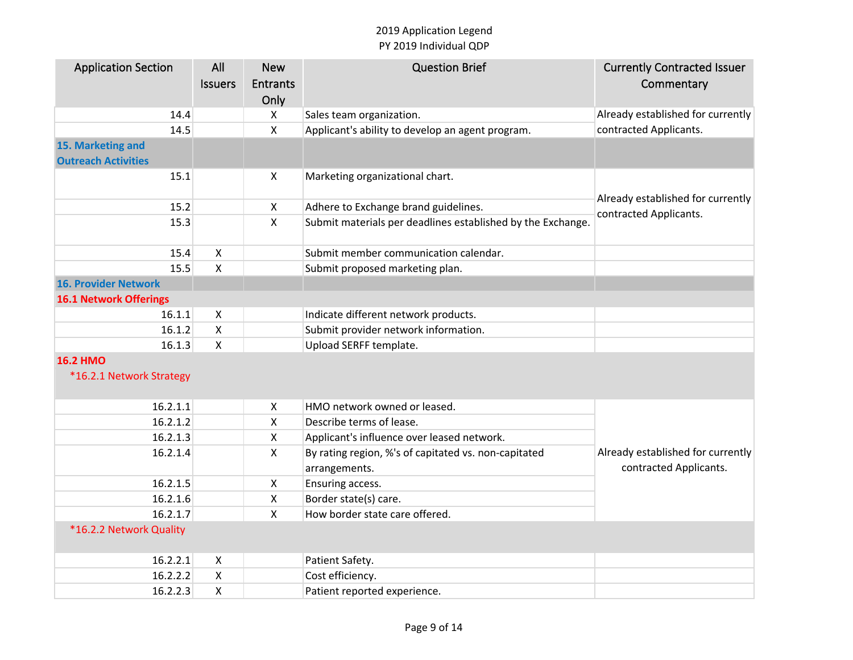| <b>Application Section</b>    | All                       | <b>New</b>                | <b>Question Brief</b>                                       | <b>Currently Contracted Issuer</b> |
|-------------------------------|---------------------------|---------------------------|-------------------------------------------------------------|------------------------------------|
|                               | <b>Issuers</b>            | <b>Entrants</b>           |                                                             | Commentary                         |
|                               |                           | Only                      |                                                             |                                    |
| 14.4                          |                           | X                         | Sales team organization.                                    | Already established for currently  |
| 14.5                          |                           | $\pmb{\times}$            | Applicant's ability to develop an agent program.            | contracted Applicants.             |
| 15. Marketing and             |                           |                           |                                                             |                                    |
| <b>Outreach Activities</b>    |                           |                           |                                                             |                                    |
| 15.1                          |                           | X                         | Marketing organizational chart.                             |                                    |
| 15.2                          |                           | X                         | Adhere to Exchange brand guidelines.                        | Already established for currently  |
| 15.3                          |                           | $\pmb{\mathsf{X}}$        | Submit materials per deadlines established by the Exchange. | contracted Applicants.             |
|                               |                           |                           |                                                             |                                    |
| 15.4                          | $\boldsymbol{\mathsf{X}}$ |                           | Submit member communication calendar.                       |                                    |
| 15.5                          | X                         |                           | Submit proposed marketing plan.                             |                                    |
| <b>16. Provider Network</b>   |                           |                           |                                                             |                                    |
| <b>16.1 Network Offerings</b> |                           |                           |                                                             |                                    |
| 16.1.1                        | $\boldsymbol{\mathsf{X}}$ |                           | Indicate different network products.                        |                                    |
| 16.1.2                        | X                         |                           | Submit provider network information.                        |                                    |
| 16.1.3                        | X                         |                           | Upload SERFF template.                                      |                                    |
| <b>16.2 HMO</b>               |                           |                           |                                                             |                                    |
| *16.2.1 Network Strategy      |                           |                           |                                                             |                                    |
|                               |                           |                           |                                                             |                                    |
| 16.2.1.1                      |                           | $\pmb{\times}$            | HMO network owned or leased.                                |                                    |
| 16.2.1.2                      |                           | $\mathsf{X}$              | Describe terms of lease.                                    |                                    |
| 16.2.1.3                      |                           | $\boldsymbol{\mathsf{X}}$ | Applicant's influence over leased network.                  |                                    |
| 16.2.1.4                      |                           | $\boldsymbol{\mathsf{X}}$ | By rating region, %'s of capitated vs. non-capitated        | Already established for currently  |
|                               |                           |                           | arrangements.                                               | contracted Applicants.             |
| 16.2.1.5                      |                           | $\mathsf{X}$              | Ensuring access.                                            |                                    |
| 16.2.1.6                      |                           | $\pmb{\times}$            | Border state(s) care.                                       |                                    |
| 16.2.1.7                      |                           | $\boldsymbol{\mathsf{X}}$ | How border state care offered.                              |                                    |
| *16.2.2 Network Quality       |                           |                           |                                                             |                                    |
| 16.2.2.1                      |                           |                           |                                                             |                                    |
| 16.2.2.2                      | X<br>$\pmb{\mathsf{X}}$   |                           | Patient Safety.                                             |                                    |
|                               |                           |                           | Cost efficiency.                                            |                                    |
| 16.2.2.3                      | $\pmb{\mathsf{X}}$        |                           | Patient reported experience.                                |                                    |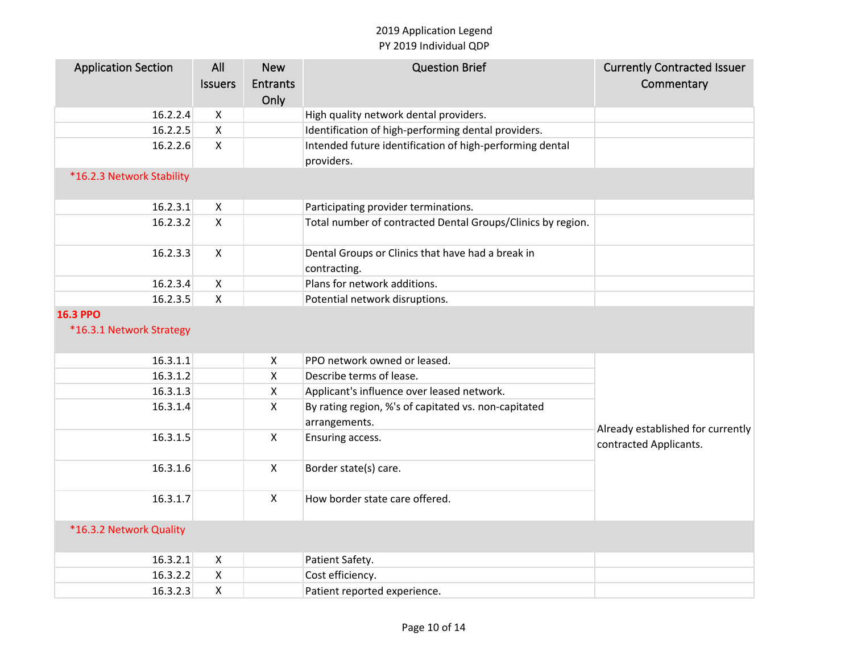| <b>Application Section</b> | All                       | <b>New</b>     | <b>Question Brief</b>                                       | <b>Currently Contracted Issuer</b> |
|----------------------------|---------------------------|----------------|-------------------------------------------------------------|------------------------------------|
|                            | <b>Issuers</b>            | Entrants       |                                                             | Commentary                         |
|                            |                           | Only           |                                                             |                                    |
| 16.2.2.4                   | X                         |                | High quality network dental providers.                      |                                    |
| 16.2.2.5                   | $\mathsf{X}$              |                | Identification of high-performing dental providers.         |                                    |
| 16.2.2.6                   | $\pmb{\times}$            |                | Intended future identification of high-performing dental    |                                    |
|                            |                           |                | providers.                                                  |                                    |
| *16.2.3 Network Stability  |                           |                |                                                             |                                    |
|                            |                           |                |                                                             |                                    |
| 16.2.3.1                   | $\mathsf{X}$              |                | Participating provider terminations.                        |                                    |
| 16.2.3.2                   | $\mathsf{X}$              |                | Total number of contracted Dental Groups/Clinics by region. |                                    |
|                            |                           |                |                                                             |                                    |
| 16.2.3.3                   | $\mathsf{X}$              |                | Dental Groups or Clinics that have had a break in           |                                    |
|                            |                           |                | contracting.                                                |                                    |
| 16.2.3.4                   | $\mathsf{X}$              |                | Plans for network additions.                                |                                    |
| 16.2.3.5                   | $\mathsf{X}$              |                | Potential network disruptions.                              |                                    |
| <b>16.3 PPO</b>            |                           |                |                                                             |                                    |
| *16.3.1 Network Strategy   |                           |                |                                                             |                                    |
|                            |                           |                |                                                             |                                    |
| 16.3.1.1                   |                           | X              | PPO network owned or leased.                                |                                    |
| 16.3.1.2                   |                           | $\pmb{\times}$ | Describe terms of lease.                                    |                                    |
| 16.3.1.3                   |                           | $\mathsf{X}$   | Applicant's influence over leased network.                  |                                    |
| 16.3.1.4                   |                           | $\mathsf{X}$   | By rating region, %'s of capitated vs. non-capitated        |                                    |
|                            |                           |                | arrangements.                                               | Already established for currently  |
| 16.3.1.5                   |                           | $\mathsf{X}$   | Ensuring access.                                            | contracted Applicants.             |
|                            |                           |                |                                                             |                                    |
| 16.3.1.6                   |                           | $\mathsf{X}$   | Border state(s) care.                                       |                                    |
|                            |                           |                |                                                             |                                    |
| 16.3.1.7                   |                           | $\pmb{\times}$ | How border state care offered.                              |                                    |
|                            |                           |                |                                                             |                                    |
| *16.3.2 Network Quality    |                           |                |                                                             |                                    |
|                            |                           |                |                                                             |                                    |
| 16.3.2.1                   | $\boldsymbol{\mathsf{X}}$ |                | Patient Safety.                                             |                                    |
| 16.3.2.2                   | $\mathsf{X}$              |                | Cost efficiency.                                            |                                    |
| 16.3.2.3                   | $\pmb{\times}$            |                | Patient reported experience.                                |                                    |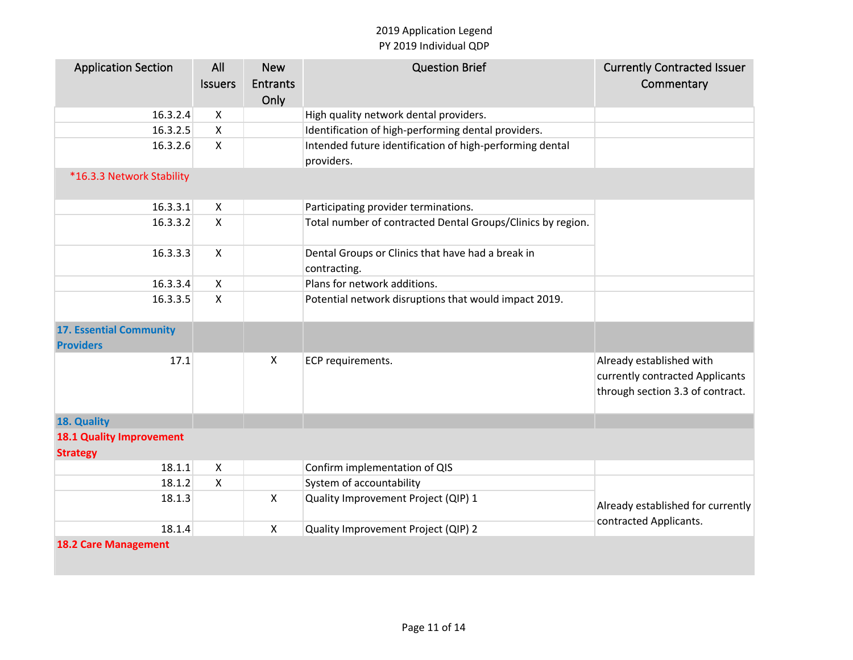| <b>Application Section</b>                         | All                       | <b>New</b>      | <b>Question Brief</b>                                                  | <b>Currently Contracted Issuer</b>                                                              |
|----------------------------------------------------|---------------------------|-----------------|------------------------------------------------------------------------|-------------------------------------------------------------------------------------------------|
|                                                    | <b>Issuers</b>            | <b>Entrants</b> |                                                                        | Commentary                                                                                      |
|                                                    |                           | Only            |                                                                        |                                                                                                 |
| 16.3.2.4                                           | X                         |                 | High quality network dental providers.                                 |                                                                                                 |
| 16.3.2.5                                           | $\boldsymbol{\mathsf{X}}$ |                 | Identification of high-performing dental providers.                    |                                                                                                 |
| 16.3.2.6                                           | $\pmb{\times}$            |                 | Intended future identification of high-performing dental<br>providers. |                                                                                                 |
| *16.3.3 Network Stability                          |                           |                 |                                                                        |                                                                                                 |
| 16.3.3.1                                           | $\boldsymbol{\mathsf{X}}$ |                 | Participating provider terminations.                                   |                                                                                                 |
| 16.3.3.2                                           | $\mathsf{X}$              |                 | Total number of contracted Dental Groups/Clinics by region.            |                                                                                                 |
| 16.3.3.3                                           | $\mathsf{X}$              |                 | Dental Groups or Clinics that have had a break in<br>contracting.      |                                                                                                 |
| 16.3.3.4                                           | $\mathsf{X}$              |                 | Plans for network additions.                                           |                                                                                                 |
| 16.3.3.5                                           | $\mathsf{X}$              |                 | Potential network disruptions that would impact 2019.                  |                                                                                                 |
| <b>17. Essential Community</b><br><b>Providers</b> |                           |                 |                                                                        |                                                                                                 |
| 17.1                                               |                           | $\mathsf{X}$    | ECP requirements.                                                      | Already established with<br>currently contracted Applicants<br>through section 3.3 of contract. |
| 18. Quality                                        |                           |                 |                                                                        |                                                                                                 |
| <b>18.1 Quality Improvement</b><br><b>Strategy</b> |                           |                 |                                                                        |                                                                                                 |
| 18.1.1                                             | X                         |                 | Confirm implementation of QIS                                          |                                                                                                 |
| 18.1.2                                             | Χ                         |                 | System of accountability                                               |                                                                                                 |
| 18.1.3                                             |                           | $\mathsf{X}$    | Quality Improvement Project (QIP) 1                                    | Already established for currently                                                               |
| 18.1.4                                             |                           | $\mathsf{X}$    | Quality Improvement Project (QIP) 2                                    | contracted Applicants.                                                                          |
| <b>18.2 Care Management</b>                        |                           |                 |                                                                        |                                                                                                 |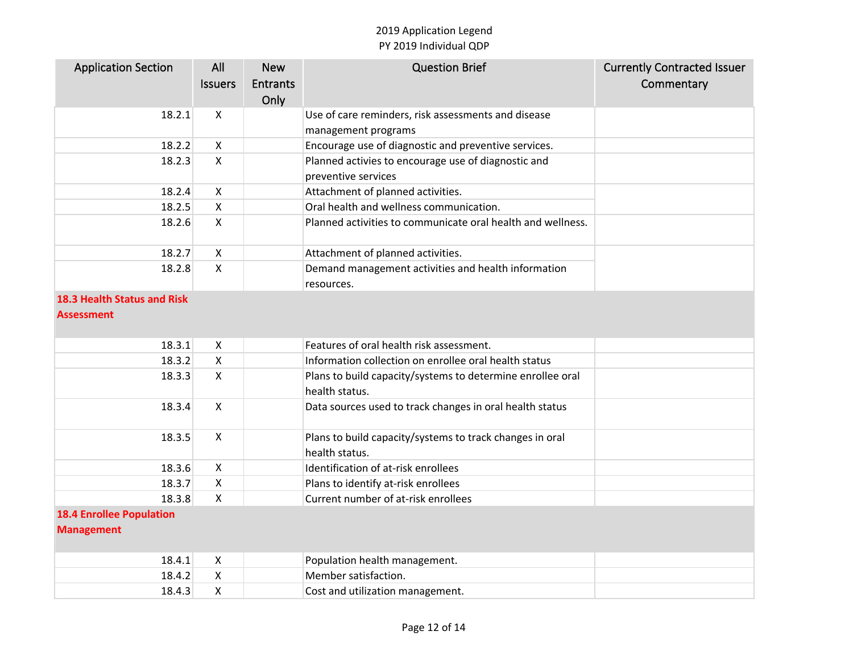| <b>Application Section</b>                           | All<br><b>Issuers</b>     | <b>New</b><br><b>Entrants</b><br>Only | <b>Question Brief</b>                                                        | <b>Currently Contracted Issuer</b><br>Commentary |
|------------------------------------------------------|---------------------------|---------------------------------------|------------------------------------------------------------------------------|--------------------------------------------------|
| 18.2.1                                               | $\mathsf{X}$              |                                       | Use of care reminders, risk assessments and disease<br>management programs   |                                                  |
| 18.2.2                                               | $\mathsf{X}$              |                                       | Encourage use of diagnostic and preventive services.                         |                                                  |
| 18.2.3                                               | $\mathsf{X}$              |                                       | Planned activies to encourage use of diagnostic and<br>preventive services   |                                                  |
| 18.2.4                                               | $\mathsf{X}$              |                                       | Attachment of planned activities.                                            |                                                  |
| 18.2.5                                               | X                         |                                       | Oral health and wellness communication.                                      |                                                  |
| 18.2.6                                               | X                         |                                       | Planned activities to communicate oral health and wellness.                  |                                                  |
| 18.2.7                                               | $\mathsf{X}$              |                                       | Attachment of planned activities.                                            |                                                  |
| 18.2.8                                               | $\mathsf{X}$              |                                       | Demand management activities and health information<br>resources.            |                                                  |
| <b>18.3 Health Status and Risk</b>                   |                           |                                       |                                                                              |                                                  |
| <b>Assessment</b>                                    |                           |                                       |                                                                              |                                                  |
| 18.3.1                                               | X                         |                                       | Features of oral health risk assessment.                                     |                                                  |
| 18.3.2                                               | $\mathsf{X}$              |                                       | Information collection on enrollee oral health status                        |                                                  |
| 18.3.3                                               | X                         |                                       | Plans to build capacity/systems to determine enrollee oral<br>health status. |                                                  |
| 18.3.4                                               | $\mathsf{X}$              |                                       | Data sources used to track changes in oral health status                     |                                                  |
| 18.3.5                                               | $\mathsf{X}$              |                                       | Plans to build capacity/systems to track changes in oral<br>health status.   |                                                  |
| 18.3.6                                               | X                         |                                       | Identification of at-risk enrollees                                          |                                                  |
| 18.3.7                                               | $\mathsf{x}$              |                                       | Plans to identify at-risk enrollees                                          |                                                  |
| 18.3.8                                               | X                         |                                       | Current number of at-risk enrollees                                          |                                                  |
| <b>18.4 Enrollee Population</b><br><b>Management</b> |                           |                                       |                                                                              |                                                  |
| 18.4.1                                               | $\boldsymbol{\mathsf{X}}$ |                                       | Population health management.                                                |                                                  |
| 18.4.2                                               | $\mathsf{x}$              |                                       | Member satisfaction.                                                         |                                                  |
| 18.4.3                                               | $\mathsf{X}$              |                                       | Cost and utilization management.                                             |                                                  |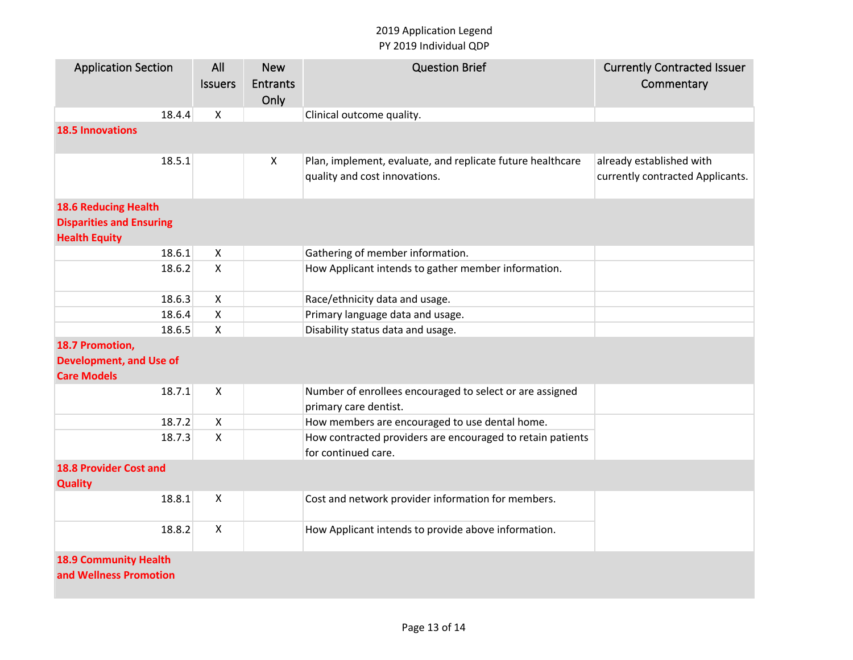| <b>Application Section</b>                              | All                       | <b>New</b>                | <b>Question Brief</b>                                                                       | <b>Currently Contracted Issuer</b>                           |  |  |  |  |
|---------------------------------------------------------|---------------------------|---------------------------|---------------------------------------------------------------------------------------------|--------------------------------------------------------------|--|--|--|--|
|                                                         | <b>Issuers</b>            | <b>Entrants</b><br>Only   |                                                                                             | Commentary                                                   |  |  |  |  |
| 18.4.4                                                  | Χ                         |                           | Clinical outcome quality.                                                                   |                                                              |  |  |  |  |
| <b>18.5 Innovations</b>                                 |                           |                           |                                                                                             |                                                              |  |  |  |  |
|                                                         |                           |                           |                                                                                             |                                                              |  |  |  |  |
| 18.5.1                                                  |                           | $\boldsymbol{\mathsf{X}}$ | Plan, implement, evaluate, and replicate future healthcare<br>quality and cost innovations. | already established with<br>currently contracted Applicants. |  |  |  |  |
| <b>18.6 Reducing Health</b>                             |                           |                           |                                                                                             |                                                              |  |  |  |  |
| <b>Disparities and Ensuring</b><br><b>Health Equity</b> |                           |                           |                                                                                             |                                                              |  |  |  |  |
| 18.6.1                                                  | $\boldsymbol{\mathsf{X}}$ |                           | Gathering of member information.                                                            |                                                              |  |  |  |  |
| 18.6.2                                                  | $\mathsf{X}$              |                           | How Applicant intends to gather member information.                                         |                                                              |  |  |  |  |
| 18.6.3                                                  | $\boldsymbol{\mathsf{X}}$ |                           | Race/ethnicity data and usage.                                                              |                                                              |  |  |  |  |
| 18.6.4                                                  | $\boldsymbol{\mathsf{X}}$ |                           | Primary language data and usage.                                                            |                                                              |  |  |  |  |
| 18.6.5                                                  | $\pmb{\times}$            |                           | Disability status data and usage.                                                           |                                                              |  |  |  |  |
| 18.7 Promotion,                                         |                           |                           |                                                                                             |                                                              |  |  |  |  |
| <b>Development, and Use of</b>                          |                           |                           |                                                                                             |                                                              |  |  |  |  |
| <b>Care Models</b>                                      |                           |                           |                                                                                             |                                                              |  |  |  |  |
| 18.7.1                                                  | X                         |                           | Number of enrollees encouraged to select or are assigned                                    |                                                              |  |  |  |  |
|                                                         |                           |                           | primary care dentist.                                                                       |                                                              |  |  |  |  |
| 18.7.2                                                  | X                         |                           | How members are encouraged to use dental home.                                              |                                                              |  |  |  |  |
| 18.7.3                                                  | $\mathsf{X}$              |                           | How contracted providers are encouraged to retain patients                                  |                                                              |  |  |  |  |
|                                                         |                           |                           | for continued care.                                                                         |                                                              |  |  |  |  |
| <b>18.8 Provider Cost and</b><br><b>Quality</b>         |                           |                           |                                                                                             |                                                              |  |  |  |  |
| 18.8.1                                                  | X                         |                           | Cost and network provider information for members.                                          |                                                              |  |  |  |  |
| 18.8.2                                                  | $\mathsf{X}$              |                           | How Applicant intends to provide above information.                                         |                                                              |  |  |  |  |
| <b>18.9 Community Health</b>                            |                           |                           |                                                                                             |                                                              |  |  |  |  |
| and Wellness Promotion                                  |                           |                           |                                                                                             |                                                              |  |  |  |  |